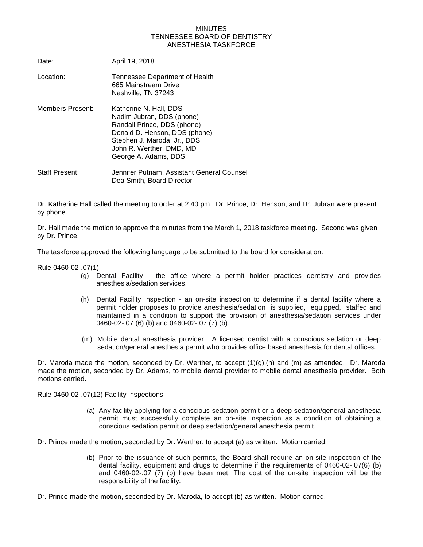## MINUTES TENNESSEE BOARD OF DENTISTRY ANESTHESIA TASKFORCE

| Date:                   | April 19, 2018                                                                                                                                                                                         |
|-------------------------|--------------------------------------------------------------------------------------------------------------------------------------------------------------------------------------------------------|
| Location:               | Tennessee Department of Health<br>665 Mainstream Drive<br>Nashville, TN 37243                                                                                                                          |
| <b>Members Present:</b> | Katherine N. Hall, DDS<br>Nadim Jubran, DDS (phone)<br>Randall Prince, DDS (phone)<br>Donald D. Henson, DDS (phone)<br>Stephen J. Maroda, Jr., DDS<br>John R. Werther, DMD, MD<br>George A. Adams, DDS |
| <b>Staff Present:</b>   | Jennifer Putnam, Assistant General Counsel<br>Dea Smith, Board Director                                                                                                                                |

Dr. Katherine Hall called the meeting to order at 2:40 pm. Dr. Prince, Dr. Henson, and Dr. Jubran were present by phone.

Dr. Hall made the motion to approve the minutes from the March 1, 2018 taskforce meeting. Second was given by Dr. Prince.

The taskforce approved the following language to be submitted to the board for consideration:

Rule 0460-02-.07(1)

- (g) Dental Facility the office where a permit holder practices dentistry and provides anesthesia/sedation services.
- (h) Dental Facility Inspection an on-site inspection to determine if a dental facility where a permit holder proposes to provide anesthesia/sedation is supplied, equipped, staffed and maintained in a condition to support the provision of anesthesia/sedation services under 0460-02-.07 (6) (b) and 0460-02-.07 (7) (b).
- (m) Mobile dental anesthesia provider. A licensed dentist with a conscious sedation or deep sedation/general anesthesia permit who provides office based anesthesia for dental offices.

Dr. Maroda made the motion, seconded by Dr. Werther, to accept  $(1)(g),(h)$  and  $(m)$  as amended. Dr. Maroda made the motion, seconded by Dr. Adams, to mobile dental provider to mobile dental anesthesia provider. Both motions carried.

Rule 0460-02-.07(12) Facility Inspections

(a) Any facility applying for a conscious sedation permit or a deep sedation/general anesthesia permit must successfully complete an on-site inspection as a condition of obtaining a conscious sedation permit or deep sedation/general anesthesia permit.

Dr. Prince made the motion, seconded by Dr. Werther, to accept (a) as written. Motion carried.

(b) Prior to the issuance of such permits, the Board shall require an on-site inspection of the dental facility, equipment and drugs to determine if the requirements of 0460-02-.07(6) (b) and 0460-02-.07 (7) (b) have been met. The cost of the on-site inspection will be the responsibility of the facility.

Dr. Prince made the motion, seconded by Dr. Maroda, to accept (b) as written. Motion carried.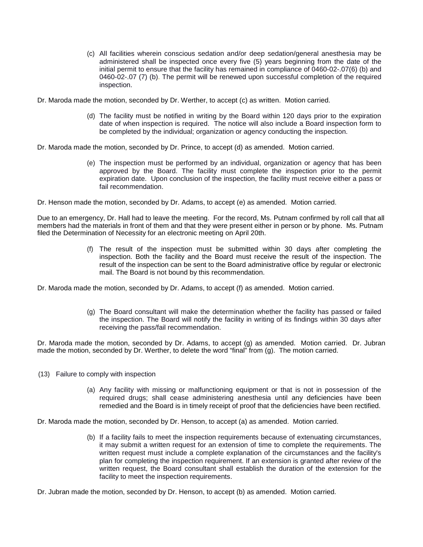- (c) All facilities wherein conscious sedation and/or deep sedation/general anesthesia may be administered shall be inspected once every five (5) years beginning from the date of the initial permit to ensure that the facility has remained in compliance of 0460-02-.07(6) (b) and 0460-02-.07 (7) (b). The permit will be renewed upon successful completion of the required inspection.
- Dr. Maroda made the motion, seconded by Dr. Werther, to accept (c) as written. Motion carried.
	- (d) The facility must be notified in writing by the Board within 120 days prior to the expiration date of when inspection is required. The notice will also include a Board inspection form to be completed by the individual; organization or agency conducting the inspection.
- Dr. Maroda made the motion, seconded by Dr. Prince, to accept (d) as amended. Motion carried.
	- (e) The inspection must be performed by an individual, organization or agency that has been approved by the Board. The facility must complete the inspection prior to the permit expiration date. Upon conclusion of the inspection, the facility must receive either a pass or fail recommendation.

Dr. Henson made the motion, seconded by Dr. Adams, to accept (e) as amended. Motion carried.

Due to an emergency, Dr. Hall had to leave the meeting. For the record, Ms. Putnam confirmed by roll call that all members had the materials in front of them and that they were present either in person or by phone. Ms. Putnam filed the Determination of Necessity for an electronic meeting on April 20th.

> (f) The result of the inspection must be submitted within 30 days after completing the inspection. Both the facility and the Board must receive the result of the inspection. The result of the inspection can be sent to the Board administrative office by regular or electronic mail. The Board is not bound by this recommendation.

Dr. Maroda made the motion, seconded by Dr. Adams, to accept (f) as amended. Motion carried.

(g) The Board consultant will make the determination whether the facility has passed or failed the inspection. The Board will notify the facility in writing of its findings within 30 days after receiving the pass/fail recommendation.

Dr. Maroda made the motion, seconded by Dr. Adams, to accept (g) as amended. Motion carried. Dr. Jubran made the motion, seconded by Dr. Werther, to delete the word "final" from (g). The motion carried.

- (13) Failure to comply with inspection
	- (a) Any facility with missing or malfunctioning equipment or that is not in possession of the required drugs; shall cease administering anesthesia until any deficiencies have been remedied and the Board is in timely receipt of proof that the deficiencies have been rectified.
- Dr. Maroda made the motion, seconded by Dr. Henson, to accept (a) as amended. Motion carried.
	- (b) If a facility fails to meet the inspection requirements because of extenuating circumstances, it may submit a written request for an extension of time to complete the requirements. The written request must include a complete explanation of the circumstances and the facility's plan for completing the inspection requirement. If an extension is granted after review of the written request, the Board consultant shall establish the duration of the extension for the facility to meet the inspection requirements.
- Dr. Jubran made the motion, seconded by Dr. Henson, to accept (b) as amended. Motion carried.